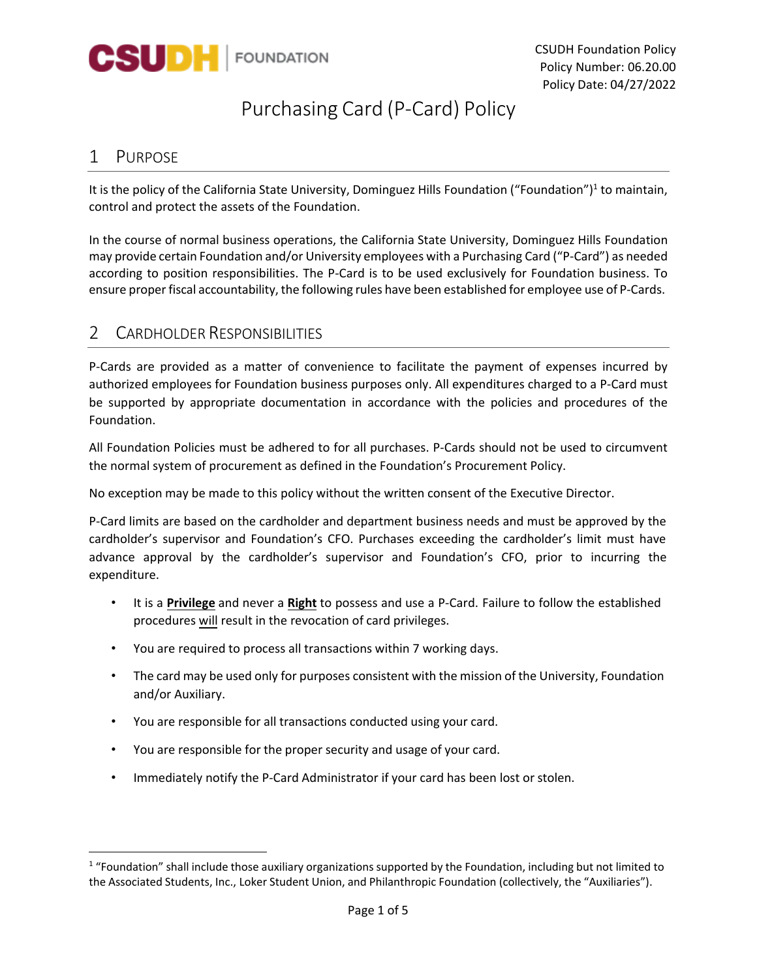

# Purchasing Card (P-Card) Policy

#### 1 PURPOSE

It is the policy of the California State University, Dominguez Hills Foundation ("Foundation")<sup>1</sup> to maintain, control and protect the assets of the Foundation.

 may provide certain Foundation and/or University employees with a Purchasing Card ("P-Card") as needed ensure proper fiscal accountability, the following rules have been established for employee use of P-Cards. In the course of normal business operations, the California State University, Dominguez Hills Foundation according to position responsibilities. The P-Card is to be used exclusively for Foundation business. To

#### 2 CARDHOLDER RESPONSIBILITIES

 P-Cards are provided as a matter of convenience to facilitate the payment of expenses incurred by authorized employees for Foundation business purposes only. All expenditures charged to a P-Card must be supported by appropriate documentation in accordance with the policies and procedures of the Foundation.

 All Foundation Policies must be adhered to for all purchases. P-Cards should not be used to circumvent the normal system of procurement as defined in the Foundation's Procurement Policy.

No exception may be made to this policy without the written consent of the Executive Director.

 advance approval by the cardholder's supervisor and Foundation's CFO, prior to incurring the P-Card limits are based on the cardholder and department business needs and must be approved by the cardholder's supervisor and Foundation's CFO. Purchases exceeding the cardholder's limit must have expenditure.

- • It is a **Privilege** and never a **Right** to possess and use a P-Card. Failure to follow the established procedures will result in the revocation of card privileges.
- You are required to process all transactions within 7 working days.
- • The card may be used only for purposes consistent with the mission of the University, Foundation and/or Auxiliary.
- You are responsible for all transactions conducted using your card.
- You are responsible for the proper security and usage of your card.
- Immediately notify the P-Card Administrator if your card has been lost or stolen.

 $1$  "Foundation" shall include those auxiliary organizations supported by the Foundation, including but not limited to the Associated Students, Inc., Loker Student Union, and Philanthropic Foundation (collectively, the "Auxiliaries").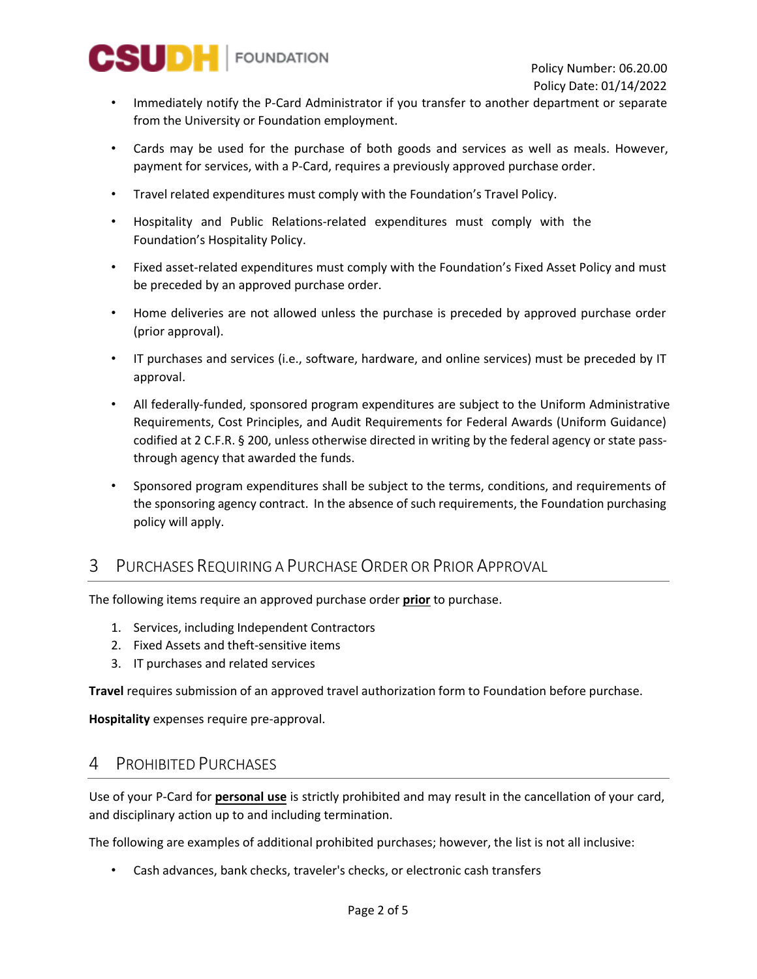

- from the University or Foundation employment. • Immediately notify the P-Card Administrator if you transfer to another department or separate
- • Cards may be used for the purchase of both goods and services as well as meals. However, payment for services, with a P-Card, requires a previously approved purchase order.
- Travel related expenditures must comply with the Foundation's Travel Policy.
- • Hospitality and Public Relations-related expenditures must comply with the Foundation's Hospitality Policy.
- • Fixed asset-related expenditures must comply with the Foundation's Fixed Asset Policy and must be preceded by an approved purchase order.
- (prior approval). • Home deliveries are not allowed unless the purchase is preceded by approved purchase order
- IT purchases and services (i.e., software, hardware, and online services) must be preceded by IT approval.
- • All federally-funded, sponsored program expenditures are subject to the Uniform Administrative codified at 2 C.F.R. § 200, unless otherwise directed in writing by the federal agency or state pass- through agency that awarded the funds. Requirements, Cost Principles, and Audit Requirements for Federal Awards (Uniform Guidance)
- • Sponsored program expenditures shall be subject to the terms, conditions, and requirements of the sponsoring agency contract. In the absence of such requirements, the Foundation purchasing policy will apply.

# 3 PURCHASES REQUIRING A PURCHASE ORDER OR PRIOR APPROVAL

The following items require an approved purchase order **prior** to purchase.

- 1. Services, including Independent Contractors
- 2. Fixed Assets and theft-sensitive items
- 3. IT purchases and related services

**Travel** requires submission of an approved travel authorization form to Foundation before purchase.

**Hospitality** expenses require pre-approval.

### 4 PROHIBITED PURCHASES

 Use of your P-Card for **personal use** is strictly prohibited and may result in the cancellation of your card, and disciplinary action up to and including termination.

The following are examples of additional prohibited purchases; however, the list is not all inclusive:

• Cash advances, bank checks, traveler's checks, or electronic cash transfers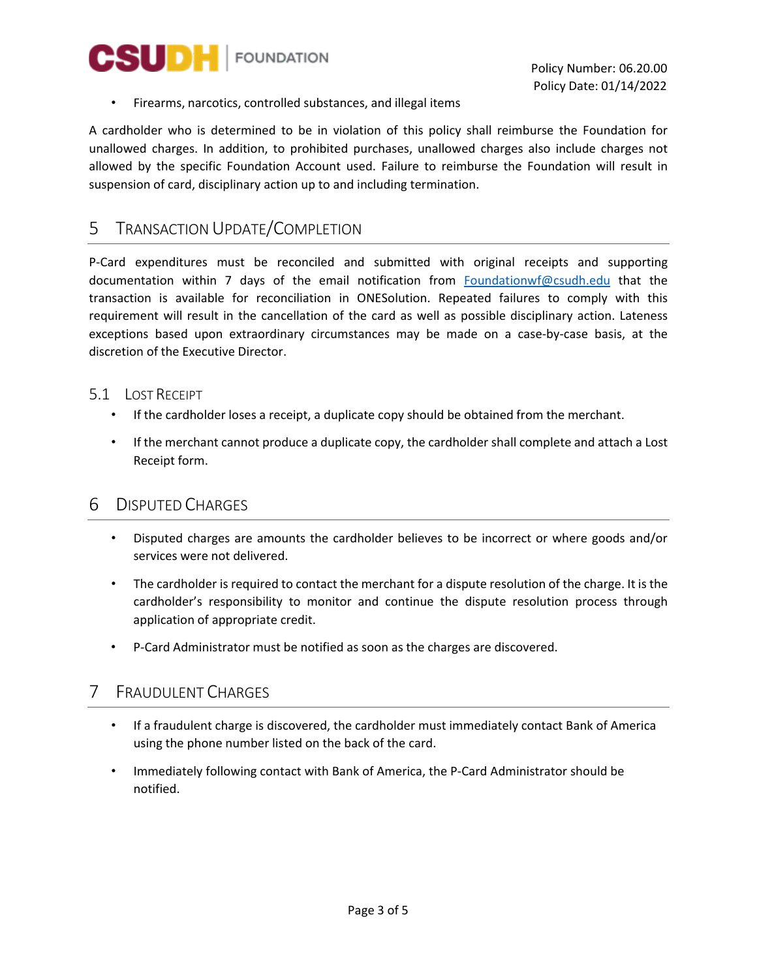

• Firearms, narcotics, controlled substances, and illegal items

 unallowed charges. In addition, to prohibited purchases, unallowed charges also include charges not suspension of card, disciplinary action up to and including termination. A cardholder who is determined to be in violation of this policy shall reimburse the Foundation for allowed by the specific Foundation Account used. Failure to reimburse the Foundation will result in

#### 5 TRANSACTION UPDATE/COMPLETION

 P-Card expenditures must be reconciled and submitted with original receipts and supporting documentation within 7 days of the email notification from **Foundationwf@csudh.edu** that the transaction is available for reconciliation in ONESolution. Repeated failures to comply with this requirement will result in the cancellation of the card as well as possible disciplinary action. Lateness exceptions based upon extraordinary circumstances may be made on a case-by-case basis, at the discretion of the Executive Director.

#### 5.1 LOST RECEIPT

- If the cardholder loses a receipt, a duplicate copy should be obtained from the merchant.
- • If the merchant cannot produce a duplicate copy, the cardholder shall complete and attach a Lost Receipt form.

### 6 DISPUTED CHARGES

- services were not delivered. • Disputed charges are amounts the cardholder believes to be incorrect or where goods and/or
- • The cardholder is required to contact the merchant for a dispute resolution of the charge. It is the cardholder's responsibility to monitor and continue the dispute resolution process through application of appropriate credit.
- P-Card Administrator must be notified as soon as the charges are discovered.

### 7 FRAUDULENT CHARGES

- using the phone number listed on the back of the card. • If a fraudulent charge is discovered, the cardholder must immediately contact Bank of America
- Immediately following contact with Bank of America, the P-Card Administrator should be notified.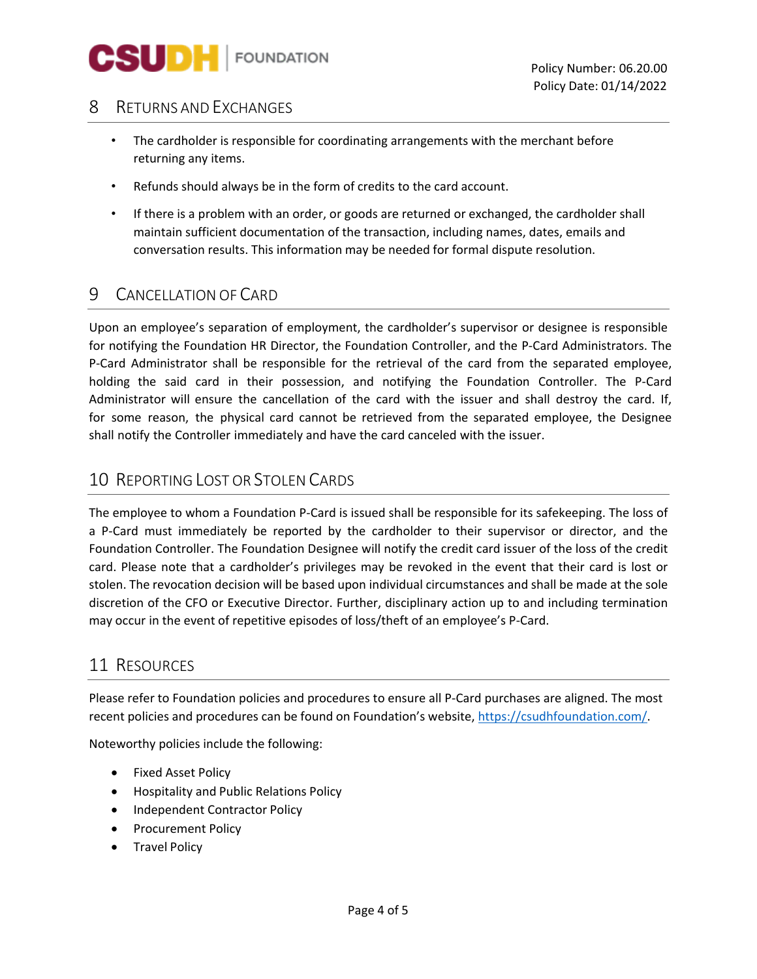

# 8 RETURNS AND EXCHANGES

- returning any items. • The cardholder is responsible for coordinating arrangements with the merchant before
- Refunds should always be in the form of credits to the card account.
- conversation results. This information may be needed for formal dispute resolution. • If there is a problem with an order, or goods are returned or exchanged, the cardholder shall maintain sufficient documentation of the transaction, including names, dates, emails and

# 9 CANCELLATION OF CARD

 P-Card Administrator shall be responsible for the retrieval of the card from the separated employee, shall notify the Controller immediately and have the card canceled with the issuer. Upon an employee's separation of employment, the cardholder's supervisor or designee is responsible for notifying the Foundation HR Director, the Foundation Controller, and the P-Card Administrators. The holding the said card in their possession, and notifying the Foundation Controller. The P-Card Administrator will ensure the cancellation of the card with the issuer and shall destroy the card. If, for some reason, the physical card cannot be retrieved from the separated employee, the Designee

### 10 REPORTING LOST OR STOLEN CARDS

 Foundation Controller. The Foundation Designee will notify the credit card issuer of the loss of the credit stolen. The revocation decision will be based upon individual circumstances and shall be made at the sole discretion of the CFO or Executive Director. Further, disciplinary action up to and including termination may occur in the event of repetitive episodes of loss/theft of an employee's P-Card. The employee to whom a Foundation P-Card is issued shall be responsible for its safekeeping. The loss of a P-Card must immediately be reported by the cardholder to their supervisor or director, and the card. Please note that a cardholder's privileges may be revoked in the event that their card is lost or

#### 11 RESOURCES

recent policies and procedures can be found on Foundation's website, https://csudhfoundation.com/. Please refer to Foundation policies and procedures to ensure all P-Card purchases are aligned. The most

Noteworthy policies include the following:

- Fixed Asset Policy
- Hospitality and Public Relations Policy
- Independent Contractor Policy
- Procurement Policy
- Travel Policy